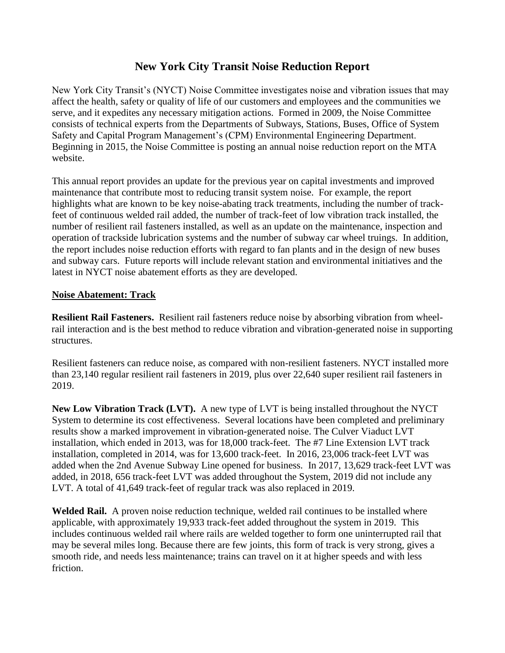# **New York City Transit Noise Reduction Report**

New York City Transit's (NYCT) Noise Committee investigates noise and vibration issues that may affect the health, safety or quality of life of our customers and employees and the communities we serve, and it expedites any necessary mitigation actions. Formed in 2009, the Noise Committee consists of technical experts from the Departments of Subways, Stations, Buses, Office of System Safety and Capital Program Management's (CPM) Environmental Engineering Department. Beginning in 2015, the Noise Committee is posting an annual noise reduction report on the MTA website.

This annual report provides an update for the previous year on capital investments and improved maintenance that contribute most to reducing transit system noise. For example, the report highlights what are known to be key noise-abating track treatments, including the number of trackfeet of continuous welded rail added, the number of track-feet of low vibration track installed, the number of resilient rail fasteners installed, as well as an update on the maintenance, inspection and operation of trackside lubrication systems and the number of subway car wheel truings. In addition, the report includes noise reduction efforts with regard to fan plants and in the design of new buses and subway cars. Future reports will include relevant station and environmental initiatives and the latest in NYCT noise abatement efforts as they are developed.

### **Noise Abatement: Track**

**Resilient Rail Fasteners.** Resilient rail fasteners reduce noise by absorbing vibration from wheelrail interaction and is the best method to reduce vibration and vibration-generated noise in supporting structures.

Resilient fasteners can reduce noise, as compared with non-resilient fasteners. NYCT installed more than 23,140 regular resilient rail fasteners in 2019, plus over 22,640 super resilient rail fasteners in 2019.

**New Low Vibration Track (LVT).** A new type of LVT is being installed throughout the NYCT System to determine its cost effectiveness. Several locations have been completed and preliminary results show a marked improvement in vibration-generated noise. The Culver Viaduct LVT installation, which ended in 2013, was for 18,000 track-feet. The #7 Line Extension LVT track installation, completed in 2014, was for 13,600 track-feet. In 2016, 23,006 track-feet LVT was added when the 2nd Avenue Subway Line opened for business. In 2017, 13,629 track-feet LVT was added, in 2018, 656 track-feet LVT was added throughout the System, 2019 did not include any LVT. A total of 41,649 track-feet of regular track was also replaced in 2019.

**Welded Rail.** A proven noise reduction technique, welded rail continues to be installed where applicable, with approximately 19,933 track-feet added throughout the system in 2019. This includes continuous welded rail where rails are welded together to form one uninterrupted rail that may be several miles long. Because there are few joints, this form of track is very strong, gives a smooth ride, and needs less maintenance; trains can travel on it at higher speeds and with less friction.